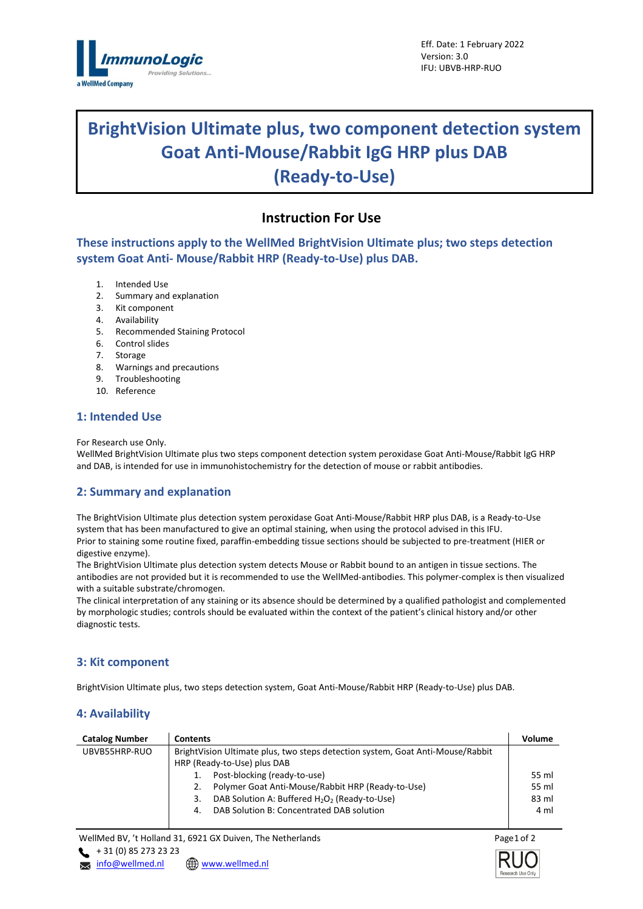

# **BrightVision Ultimate plus, two component detection system Goat Anti-Mouse/Rabbit IgG HRP plus DAB (Ready-to-Use)**

# **Instruction For Use**

**These instructions apply to the WellMed BrightVision Ultimate plus; two steps detection system Goat Anti- Mouse/Rabbit HRP (Ready-to-Use) plus DAB.**

- 1. Intended Use
- 2. Summary and explanation
- 3. Kit component
- 4. Availability
- 5. Recommended Staining Protocol
- 6. Control slides
- 7. Storage
- 8. Warnings and precautions
- 9. Troubleshooting
- 10. Reference

#### **1: Intended Use**

For Research use Only.

WellMed BrightVision Ultimate plus two steps component detection system peroxidase Goat Anti-Mouse/Rabbit IgG HRP and DAB, is intended for use in immunohistochemistry for the detection of mouse or rabbit antibodies.

#### **2: Summary and explanation**

The BrightVision Ultimate plus detection system peroxidase Goat Anti-Mouse/Rabbit HRP plus DAB, is a Ready-to-Use system that has been manufactured to give an optimal staining, when using the protocol advised in this IFU. Prior to staining some routine fixed, paraffin-embedding tissue sections should be subjected to pre-treatment (HIER or digestive enzyme).

The BrightVision Ultimate plus detection system detects Mouse or Rabbit bound to an antigen in tissue sections. The antibodies are not provided but it is recommended to use the WellMed-antibodies. This polymer-complex is then visualized with a suitable substrate/chromogen.

The clinical interpretation of any staining or its absence should be determined by a qualified pathologist and complemented by morphologic studies; controls should be evaluated within the context of the patient's clinical history and/or other diagnostic tests.

#### **3: Kit component**

BrightVision Ultimate plus, two steps detection system, Goat Anti-Mouse/Rabbit HRP (Ready-to-Use) plus DAB.

## **4: Availability**

| <b>Contents</b>                                                                                               | Volume |  |  |
|---------------------------------------------------------------------------------------------------------------|--------|--|--|
| BrightVision Ultimate plus, two steps detection system, Goat Anti-Mouse/Rabbit<br>HRP (Ready-to-Use) plus DAB |        |  |  |
|                                                                                                               |        |  |  |
| Polymer Goat Anti-Mouse/Rabbit HRP (Ready-to-Use)<br>2.                                                       | 55 ml  |  |  |
| DAB Solution A: Buffered H <sub>2</sub> O <sub>2</sub> (Ready-to-Use)<br>3.                                   | 83 ml  |  |  |
| DAB Solution B: Concentrated DAB solution<br>4.                                                               | 4 ml   |  |  |
|                                                                                                               |        |  |  |
|                                                                                                               |        |  |  |

WellMed BV, 't Holland 31, 6921 GX Duiven, The Netherlands  $+ 31 (0) 85 273 23 23$ 

**x** [info@wellmed.nl](mailto:info@wellmed.nl) **\@** [www.wellmed.nl](http://www.wellmed.nl/)



Page 1 of 2